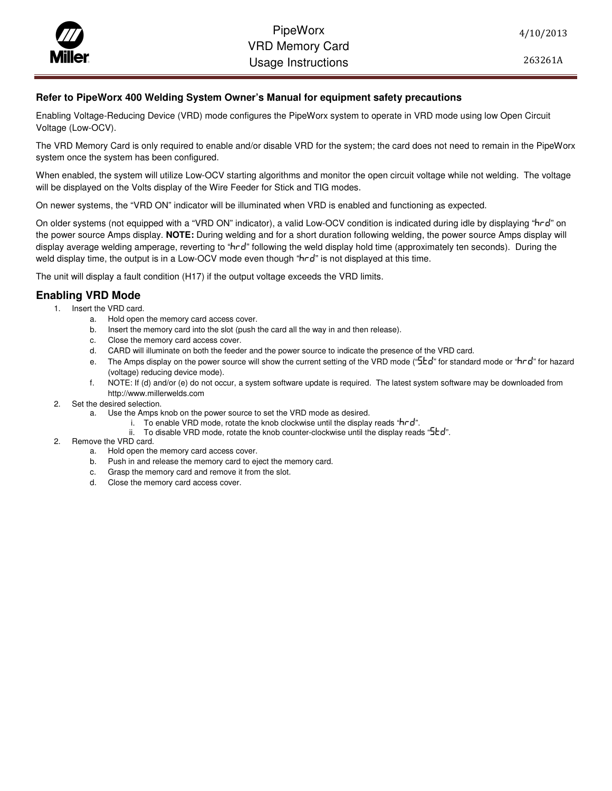## PipeWorx<br>VRD Memory C<br>Usaqe Instructi VRD Memory Card Usage Instructions

## **Refer to PipeWorx 400 Welding System Owner's Manual for equipment safety precautions**

Enabling Voltage-Reducing Device (VRD) mode configures the PipeWorx system to operate in VRD mode using low Open Circuit Voltage (Low-OCV).

The VRD Memory Card is only required to enable and/or disable VRD for the system; the card does not need to remain in the PipeWorx system once the system has been configured.

When enabled, the system will utilize Low-OCV starting algorithms and monitor the open circuit voltage while not welding. The voltage will be displayed on the Volts display of the Wire Feeder for Stick and TIG modes.

On newer systems, the "VRD ON" indicator will be illuminated when VRD is enabled and functioning as expected.

On older systems (not equipped with a "VRD ON" indicator), a valid Low-OCV condition is indicated during idle by displaying "hrd" on the power source Amps display. **NOTE:** During welding and for a short duration following welding, the power source Amps display will display average welding amperage, reverting to "hrd" following the weld display hold time (approximately ten seconds). During the weld display time, the output is in a Low-OCV mode even though "hrd" is not displayed at this time.

The unit will display a fault condition (H17) if the output voltage exceeds the VRD limits.

## **Enabling VRD Mode**

- 1. Insert the VRD card.
	- a. Hold open the memory card access cover.
	- b. Insert the memory card into the slot (push the card all the way in and then release).
	- c. Close the memory card access cover.
	- d. CARD will illuminate on both the feeder and the power source to indicate the presence of the VRD card.
	- e. The Amps display on the power source will show the current setting of the VRD mode (" $5Ed$ " for standard mode or " $hr$ d" for hazard (voltage) reducing device mode).
	- f. NOTE: If (d) and/or (e) do not occur, a system software update is required. The latest system software may be downloaded from http://www.millerwelds.com
- 2. Set the desired selection.
	- a. Use the Amps knob on the power source to set the VRD mode as desired.
		- i. To enable VRD mode, rotate the knob clockwise until the display reads " $hrd$ ".
			- ii. To disable VRD mode, rotate the knob counter-clockwise until the display reads " $5Ed$ ".
- 2. Remove the VRD card.
	- a. Hold open the memory card access cover.
	- b. Push in and release the memory card to eject the memory card.
	- c. Grasp the memory card and remove it from the slot.
	- d. Close the memory card access cover.